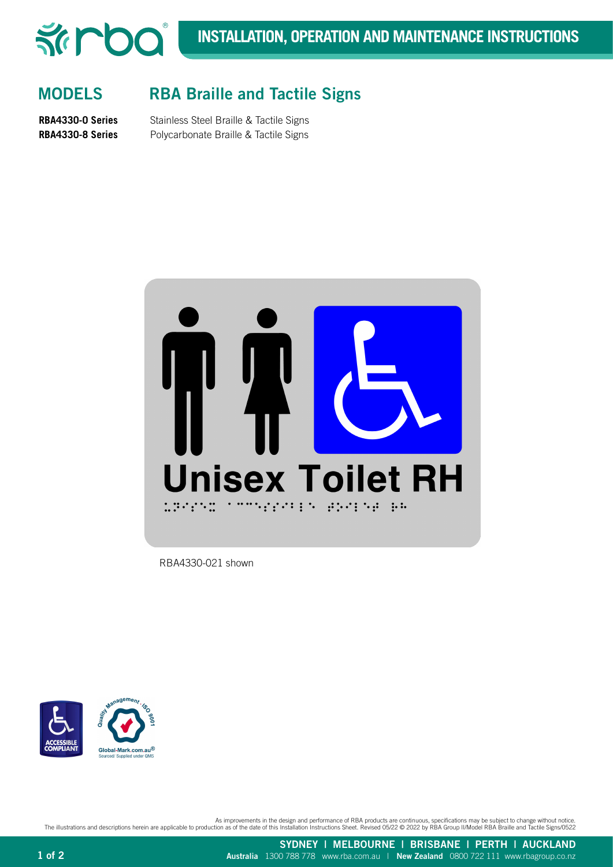

## MODELS RBA Braille and Tactile Signs

**RBA4330-0 Series** Stainless Steel Braille & Tactile Signs **RBA4330-8 Series** Polycarbonate Braille & Tactile Signs



RBA4330-021 shown



As improvements in the design and performance of RBA products are continuous, specifications may be subject to change without notice.<br>The illustrations and descriptions herein are applicable to production as of the date of